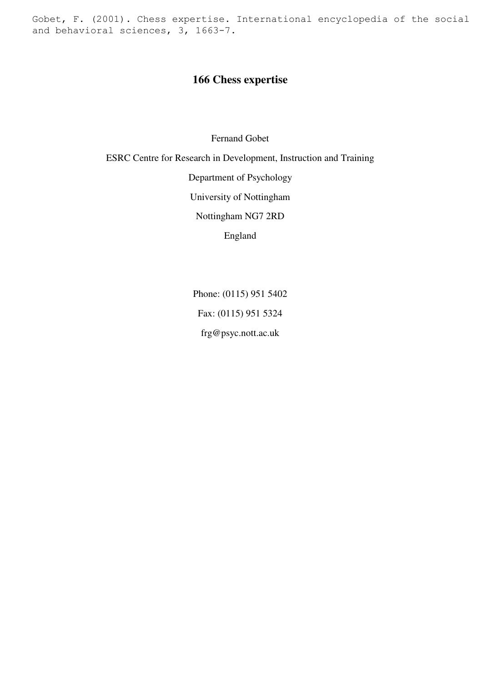Gobet, F. (2001). Chess expertise. International encyclopedia of the social and behavioral sciences, 3, 1663-7.

# **166 Chess expertise**

Fernand Gobet

ESRC Centre for Research in Development, Instruction and Training

Department of Psychology

University of Nottingham

Nottingham NG7 2RD

England

Phone: (0115) 951 5402 Fax: (0115) 951 5324 frg@psyc.nott.ac.uk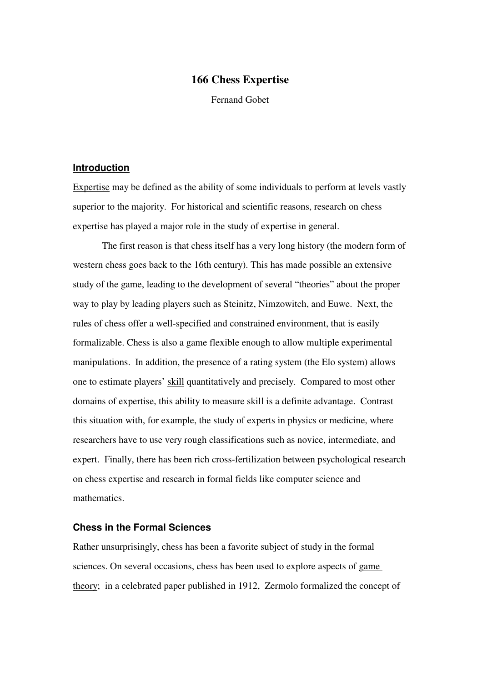# **166 Chess Expertise**

Fernand Gobet

#### **Introduction**

Expertise may be defined as the ability of some individuals to perform at levels vastly superior to the majority. For historical and scientific reasons, research on chess expertise has played a major role in the study of expertise in general.

 The first reason is that chess itself has a very long history (the modern form of western chess goes back to the 16th century). This has made possible an extensive study of the game, leading to the development of several "theories" about the proper way to play by leading players such as Steinitz, Nimzowitch, and Euwe. Next, the rules of chess offer a well-specified and constrained environment, that is easily formalizable. Chess is also a game flexible enough to allow multiple experimental manipulations. In addition, the presence of a rating system (the Elo system) allows one to estimate players' skill quantitatively and precisely. Compared to most other domains of expertise, this ability to measure skill is a definite advantage. Contrast this situation with, for example, the study of experts in physics or medicine, where researchers have to use very rough classifications such as novice, intermediate, and expert. Finally, there has been rich cross-fertilization between psychological research on chess expertise and research in formal fields like computer science and mathematics.

# **Chess in the Formal Sciences**

Rather unsurprisingly, chess has been a favorite subject of study in the formal sciences. On several occasions, chess has been used to explore aspects of game theory; in a celebrated paper published in 1912, Zermolo formalized the concept of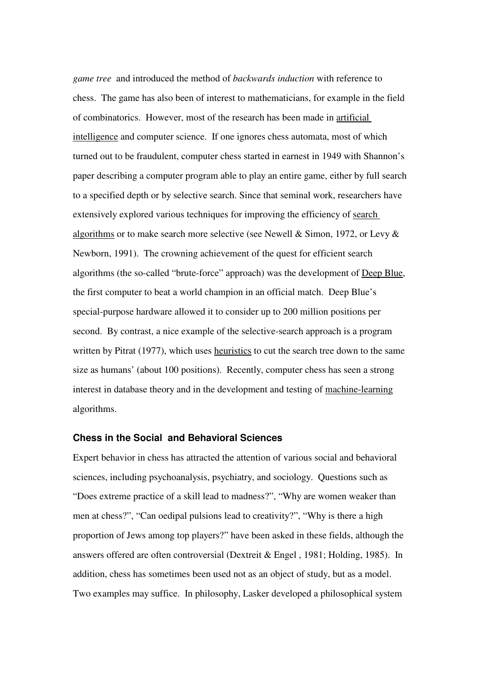*game tree* and introduced the method of *backwards induction* with reference to chess. The game has also been of interest to mathematicians, for example in the field of combinatorics. However, most of the research has been made in artificial intelligence and computer science. If one ignores chess automata, most of which turned out to be fraudulent, computer chess started in earnest in 1949 with Shannon's paper describing a computer program able to play an entire game, either by full search to a specified depth or by selective search. Since that seminal work, researchers have extensively explored various techniques for improving the efficiency of search algorithms or to make search more selective (see Newell & Simon, 1972, or Levy & Newborn, 1991). The crowning achievement of the quest for efficient search algorithms (the so-called "brute-force" approach) was the development of Deep Blue, the first computer to beat a world champion in an official match. Deep Blue's special-purpose hardware allowed it to consider up to 200 million positions per second. By contrast, a nice example of the selective-search approach is a program written by Pitrat (1977), which uses heuristics to cut the search tree down to the same size as humans' (about 100 positions). Recently, computer chess has seen a strong interest in database theory and in the development and testing of machine-learning algorithms.

# **Chess in the Social and Behavioral Sciences**

Expert behavior in chess has attracted the attention of various social and behavioral sciences, including psychoanalysis, psychiatry, and sociology. Questions such as "Does extreme practice of a skill lead to madness?", "Why are women weaker than men at chess?", "Can oedipal pulsions lead to creativity?", "Why is there a high proportion of Jews among top players?" have been asked in these fields, although the answers offered are often controversial (Dextreit & Engel , 1981; Holding, 1985). In addition, chess has sometimes been used not as an object of study, but as a model. Two examples may suffice. In philosophy, Lasker developed a philosophical system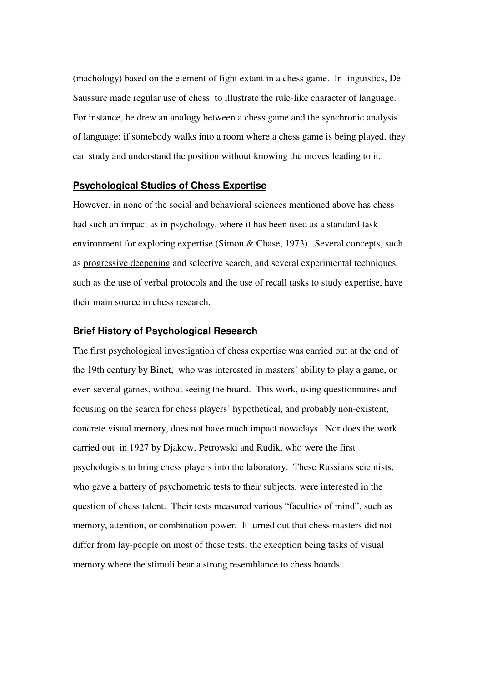(machology) based on the element of fight extant in a chess game. In linguistics, De Saussure made regular use of chess to illustrate the rule-like character of language. For instance, he drew an analogy between a chess game and the synchronic analysis of language: if somebody walks into a room where a chess game is being played, they can study and understand the position without knowing the moves leading to it.

## **Psychological Studies of Chess Expertise**

However, in none of the social and behavioral sciences mentioned above has chess had such an impact as in psychology, where it has been used as a standard task environment for exploring expertise (Simon & Chase, 1973). Several concepts, such as progressive deepening and selective search, and several experimental techniques, such as the use of verbal protocols and the use of recall tasks to study expertise, have their main source in chess research.

## **Brief History of Psychological Research**

The first psychological investigation of chess expertise was carried out at the end of the 19th century by Binet, who was interested in masters' ability to play a game, or even several games, without seeing the board. This work, using questionnaires and focusing on the search for chess players' hypothetical, and probably non-existent, concrete visual memory, does not have much impact nowadays. Nor does the work carried out in 1927 by Djakow, Petrowski and Rudik, who were the first psychologists to bring chess players into the laboratory. These Russians scientists, who gave a battery of psychometric tests to their subjects, were interested in the question of chess talent. Their tests measured various "faculties of mind", such as memory, attention, or combination power. It turned out that chess masters did not differ from lay-people on most of these tests, the exception being tasks of visual memory where the stimuli bear a strong resemblance to chess boards.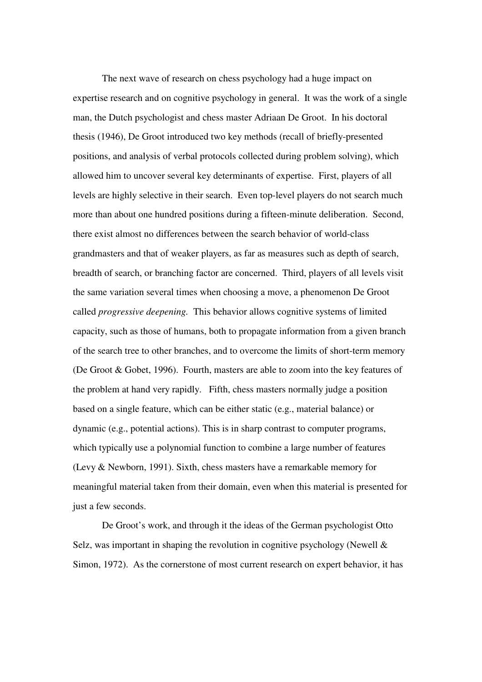The next wave of research on chess psychology had a huge impact on expertise research and on cognitive psychology in general. It was the work of a single man, the Dutch psychologist and chess master Adriaan De Groot. In his doctoral thesis (1946), De Groot introduced two key methods (recall of briefly-presented positions, and analysis of verbal protocols collected during problem solving), which allowed him to uncover several key determinants of expertise. First, players of all levels are highly selective in their search. Even top-level players do not search much more than about one hundred positions during a fifteen-minute deliberation. Second, there exist almost no differences between the search behavior of world-class grandmasters and that of weaker players, as far as measures such as depth of search, breadth of search, or branching factor are concerned. Third, players of all levels visit the same variation several times when choosing a move, a phenomenon De Groot called *progressive deepening.* This behavior allows cognitive systems of limited capacity, such as those of humans, both to propagate information from a given branch of the search tree to other branches, and to overcome the limits of short-term memory (De Groot & Gobet, 1996). Fourth, masters are able to zoom into the key features of the problem at hand very rapidly. Fifth, chess masters normally judge a position based on a single feature, which can be either static (e.g., material balance) or dynamic (e.g., potential actions). This is in sharp contrast to computer programs, which typically use a polynomial function to combine a large number of features (Levy & Newborn, 1991). Sixth, chess masters have a remarkable memory for meaningful material taken from their domain, even when this material is presented for just a few seconds.

 De Groot's work, and through it the ideas of the German psychologist Otto Selz, was important in shaping the revolution in cognitive psychology (Newell  $\&$ Simon, 1972). As the cornerstone of most current research on expert behavior, it has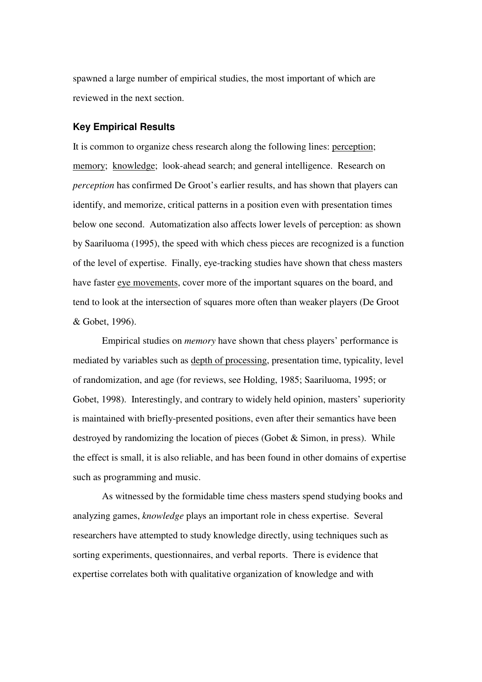spawned a large number of empirical studies, the most important of which are reviewed in the next section.

#### **Key Empirical Results**

It is common to organize chess research along the following lines: perception; memory; knowledge; look-ahead search; and general intelligence. Research on *perception* has confirmed De Groot's earlier results, and has shown that players can identify, and memorize, critical patterns in a position even with presentation times below one second. Automatization also affects lower levels of perception: as shown by Saariluoma (1995), the speed with which chess pieces are recognized is a function of the level of expertise. Finally, eye-tracking studies have shown that chess masters have faster eye movements, cover more of the important squares on the board, and tend to look at the intersection of squares more often than weaker players (De Groot & Gobet, 1996).

 Empirical studies on *memory* have shown that chess players' performance is mediated by variables such as depth of processing, presentation time, typicality, level of randomization, and age (for reviews, see Holding, 1985; Saariluoma, 1995; or Gobet, 1998). Interestingly, and contrary to widely held opinion, masters' superiority is maintained with briefly-presented positions, even after their semantics have been destroyed by randomizing the location of pieces (Gobet & Simon, in press). While the effect is small, it is also reliable, and has been found in other domains of expertise such as programming and music.

 As witnessed by the formidable time chess masters spend studying books and analyzing games, *knowledge* plays an important role in chess expertise. Several researchers have attempted to study knowledge directly, using techniques such as sorting experiments, questionnaires, and verbal reports. There is evidence that expertise correlates both with qualitative organization of knowledge and with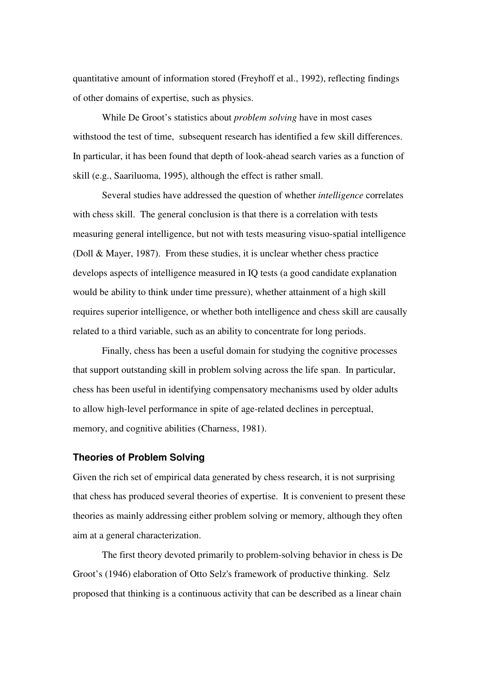quantitative amount of information stored (Freyhoff et al., 1992), reflecting findings of other domains of expertise, such as physics.

 While De Groot's statistics about *problem solving* have in most cases withstood the test of time, subsequent research has identified a few skill differences. In particular, it has been found that depth of look-ahead search varies as a function of skill (e.g., Saariluoma, 1995), although the effect is rather small.

 Several studies have addressed the question of whether *intelligence* correlates with chess skill. The general conclusion is that there is a correlation with tests measuring general intelligence, but not with tests measuring visuo-spatial intelligence (Doll & Mayer, 1987). From these studies, it is unclear whether chess practice develops aspects of intelligence measured in IQ tests (a good candidate explanation would be ability to think under time pressure), whether attainment of a high skill requires superior intelligence, or whether both intelligence and chess skill are causally related to a third variable, such as an ability to concentrate for long periods.

 Finally, chess has been a useful domain for studying the cognitive processes that support outstanding skill in problem solving across the life span. In particular, chess has been useful in identifying compensatory mechanisms used by older adults to allow high-level performance in spite of age-related declines in perceptual, memory, and cognitive abilities (Charness, 1981).

## **Theories of Problem Solving**

Given the rich set of empirical data generated by chess research, it is not surprising that chess has produced several theories of expertise. It is convenient to present these theories as mainly addressing either problem solving or memory, although they often aim at a general characterization.

 The first theory devoted primarily to problem-solving behavior in chess is De Groot's (1946) elaboration of Otto Selz's framework of productive thinking. Selz proposed that thinking is a continuous activity that can be described as a linear chain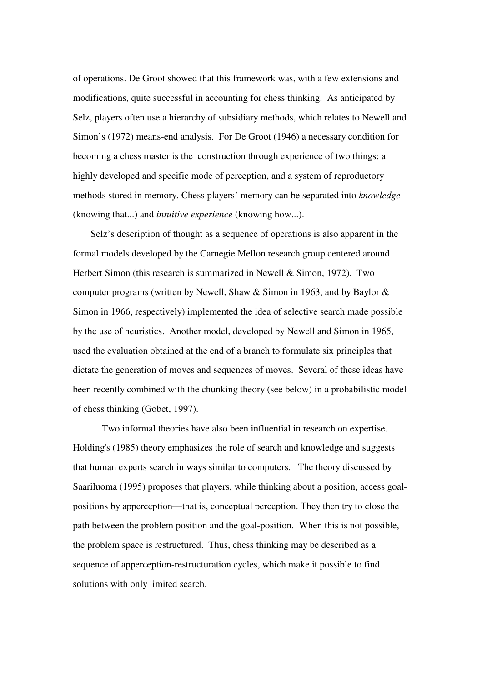of operations. De Groot showed that this framework was, with a few extensions and modifications, quite successful in accounting for chess thinking. As anticipated by Selz, players often use a hierarchy of subsidiary methods, which relates to Newell and Simon's (1972) means-end analysis. For De Groot (1946) a necessary condition for becoming a chess master is the construction through experience of two things: a highly developed and specific mode of perception, and a system of reproductory methods stored in memory. Chess players' memory can be separated into *knowledge* (knowing that...) and *intuitive experience* (knowing how...).

 Selz's description of thought as a sequence of operations is also apparent in the formal models developed by the Carnegie Mellon research group centered around Herbert Simon (this research is summarized in Newell & Simon, 1972). Two computer programs (written by Newell, Shaw & Simon in 1963, and by Baylor & Simon in 1966, respectively) implemented the idea of selective search made possible by the use of heuristics. Another model, developed by Newell and Simon in 1965, used the evaluation obtained at the end of a branch to formulate six principles that dictate the generation of moves and sequences of moves. Several of these ideas have been recently combined with the chunking theory (see below) in a probabilistic model of chess thinking (Gobet, 1997).

 Two informal theories have also been influential in research on expertise. Holding's (1985) theory emphasizes the role of search and knowledge and suggests that human experts search in ways similar to computers. The theory discussed by Saariluoma (1995) proposes that players, while thinking about a position, access goalpositions by apperception—that is, conceptual perception. They then try to close the path between the problem position and the goal-position. When this is not possible, the problem space is restructured. Thus, chess thinking may be described as a sequence of apperception-restructuration cycles, which make it possible to find solutions with only limited search.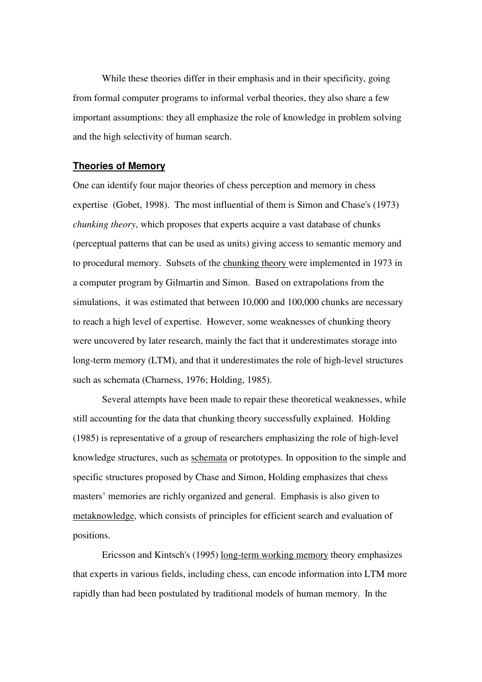While these theories differ in their emphasis and in their specificity, going from formal computer programs to informal verbal theories, they also share a few important assumptions: they all emphasize the role of knowledge in problem solving and the high selectivity of human search.

### **Theories of Memory**

One can identify four major theories of chess perception and memory in chess expertise (Gobet, 1998). The most influential of them is Simon and Chase's (1973) *chunking theory*, which proposes that experts acquire a vast database of chunks (perceptual patterns that can be used as units) giving access to semantic memory and to procedural memory. Subsets of the chunking theory were implemented in 1973 in a computer program by Gilmartin and Simon. Based on extrapolations from the simulations, it was estimated that between 10,000 and 100,000 chunks are necessary to reach a high level of expertise. However, some weaknesses of chunking theory were uncovered by later research, mainly the fact that it underestimates storage into long-term memory (LTM), and that it underestimates the role of high-level structures such as schemata (Charness, 1976; Holding, 1985).

 Several attempts have been made to repair these theoretical weaknesses, while still accounting for the data that chunking theory successfully explained. Holding (1985) is representative of a group of researchers emphasizing the role of high-level knowledge structures, such as schemata or prototypes. In opposition to the simple and specific structures proposed by Chase and Simon, Holding emphasizes that chess masters' memories are richly organized and general. Emphasis is also given to metaknowledge, which consists of principles for efficient search and evaluation of positions.

 Ericsson and Kintsch's (1995) long-term working memory theory emphasizes that experts in various fields, including chess, can encode information into LTM more rapidly than had been postulated by traditional models of human memory. In the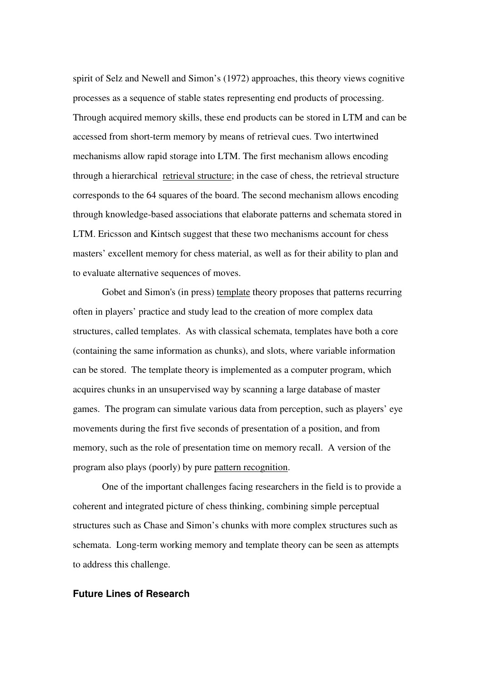spirit of Selz and Newell and Simon's (1972) approaches, this theory views cognitive processes as a sequence of stable states representing end products of processing. Through acquired memory skills, these end products can be stored in LTM and can be accessed from short-term memory by means of retrieval cues. Two intertwined mechanisms allow rapid storage into LTM. The first mechanism allows encoding through a hierarchical retrieval structure; in the case of chess, the retrieval structure corresponds to the 64 squares of the board. The second mechanism allows encoding through knowledge-based associations that elaborate patterns and schemata stored in LTM. Ericsson and Kintsch suggest that these two mechanisms account for chess masters' excellent memory for chess material, as well as for their ability to plan and to evaluate alternative sequences of moves.

Gobet and Simon's (in press) template theory proposes that patterns recurring often in players' practice and study lead to the creation of more complex data structures, called templates. As with classical schemata, templates have both a core (containing the same information as chunks), and slots, where variable information can be stored. The template theory is implemented as a computer program, which acquires chunks in an unsupervised way by scanning a large database of master games. The program can simulate various data from perception, such as players' eye movements during the first five seconds of presentation of a position, and from memory, such as the role of presentation time on memory recall. A version of the program also plays (poorly) by pure pattern recognition.

 One of the important challenges facing researchers in the field is to provide a coherent and integrated picture of chess thinking, combining simple perceptual structures such as Chase and Simon's chunks with more complex structures such as schemata. Long-term working memory and template theory can be seen as attempts to address this challenge.

# **Future Lines of Research**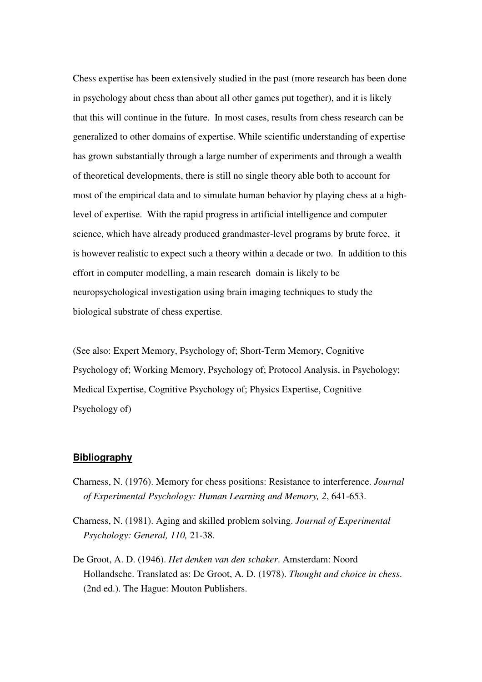Chess expertise has been extensively studied in the past (more research has been done in psychology about chess than about all other games put together), and it is likely that this will continue in the future. In most cases, results from chess research can be generalized to other domains of expertise. While scientific understanding of expertise has grown substantially through a large number of experiments and through a wealth of theoretical developments, there is still no single theory able both to account for most of the empirical data and to simulate human behavior by playing chess at a highlevel of expertise. With the rapid progress in artificial intelligence and computer science, which have already produced grandmaster-level programs by brute force, it is however realistic to expect such a theory within a decade or two. In addition to this effort in computer modelling, a main research domain is likely to be neuropsychological investigation using brain imaging techniques to study the biological substrate of chess expertise.

(See also: Expert Memory, Psychology of; Short-Term Memory, Cognitive Psychology of; Working Memory, Psychology of; Protocol Analysis, in Psychology; Medical Expertise, Cognitive Psychology of; Physics Expertise, Cognitive Psychology of)

#### **Bibliography**

- Charness, N. (1976). Memory for chess positions: Resistance to interference. *Journal of Experimental Psychology: Human Learning and Memory, 2*, 641-653.
- Charness, N. (1981). Aging and skilled problem solving. *Journal of Experimental Psychology: General, 110,* 21-38.
- De Groot, A. D. (1946). *Het denken van den schaker*. Amsterdam: Noord Hollandsche. Translated as: De Groot, A. D. (1978). *Thought and choice in chess*. (2nd ed.). The Hague: Mouton Publishers.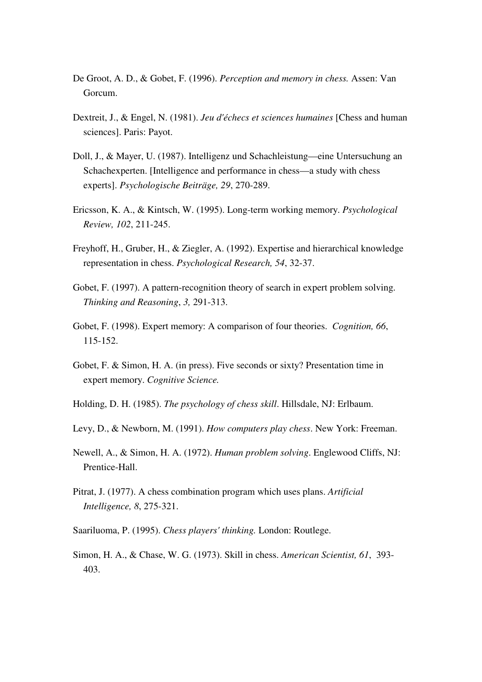- De Groot, A. D., & Gobet, F. (1996). *Perception and memory in chess.* Assen: Van Gorcum.
- Dextreit, J., & Engel, N. (1981). *Jeu d'échecs et sciences humaines* [Chess and human sciences]. Paris: Payot.
- Doll, J., & Mayer, U. (1987). Intelligenz und Schachleistung—eine Untersuchung an Schachexperten. [Intelligence and performance in chess—a study with chess experts]. *Psychologische Beiträge, 29*, 270-289.
- Ericsson, K. A., & Kintsch, W. (1995). Long-term working memory. *Psychological Review, 102*, 211-245.
- Freyhoff, H., Gruber, H., & Ziegler, A. (1992). Expertise and hierarchical knowledge representation in chess. *Psychological Research, 54*, 32-37.
- Gobet, F. (1997). A pattern-recognition theory of search in expert problem solving. *Thinking and Reasoning*, *3,* 291-313.
- Gobet, F. (1998). Expert memory: A comparison of four theories. *Cognition, 66*, 115-152.
- Gobet, F. & Simon, H. A. (in press). Five seconds or sixty? Presentation time in expert memory. *Cognitive Science.*
- Holding, D. H. (1985). *The psychology of chess skill*. Hillsdale, NJ: Erlbaum.
- Levy, D., & Newborn, M. (1991). *How computers play chess*. New York: Freeman.
- Newell, A., & Simon, H. A. (1972). *Human problem solving*. Englewood Cliffs, NJ: Prentice-Hall.
- Pitrat, J. (1977). A chess combination program which uses plans. *Artificial Intelligence, 8*, 275-321.
- Saariluoma, P. (1995). *Chess players' thinking.* London: Routlege.
- Simon, H. A., & Chase, W. G. (1973). Skill in chess. *American Scientist, 61*, 393- 403.